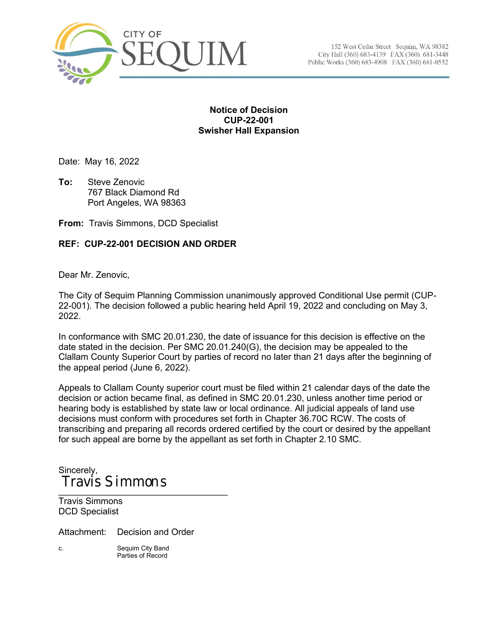

152 West Cedar Street Sequim, WA 98382 City Hall (360) 683-4139 FAX (360) 681-3448 Public Works (360) 683-4908 FAX (360) 681-0552

## **Notice of Decision CUP-22-001 Swisher Hall Expansion**

Date: May 16, 2022

**To:** Steve Zenovic 767 Black Diamond Rd Port Angeles, WA 98363

**From:** Travis Simmons, DCD Specialist

# **REF: CUP-22-001 DECISION AND ORDER**

Dear Mr. Zenovic,

The City of Sequim Planning Commission unanimously approved Conditional Use permit (CUP-22-001). The decision followed a public hearing held April 19, 2022 and concluding on May 3, 2022.

In conformance with SMC 20.01.230, the date of issuance for this decision is effective on the date stated in the decision. Per SMC 20.01.240(G), the decision may be appealed to the Clallam County Superior Court by parties of record no later than 21 days after the beginning of the appeal period (June 6, 2022).

Appeals to Clallam County superior court must be filed within 21 calendar days of the date the decision or action became final, as defined in SMC 20.01.230, unless another time period or hearing body is established by state law or local ordinance. All judicial appeals of land use decisions must conform with procedures set forth in Chapter 36.70C RCW. The costs of transcribing and preparing all records ordered certified by the court or desired by the appellant for such appeal are borne by the appellant as set forth in Chapter 2.10 SMC.

Sincerely, \_\_\_\_\_\_\_\_\_\_\_\_\_\_\_\_\_\_\_\_\_\_\_\_\_\_\_\_\_\_\_\_\_\_ Travis Simmons

Travis Simmons DCD Specialist

Attachment: Decision and Order

c. Sequim City Band Parties of Record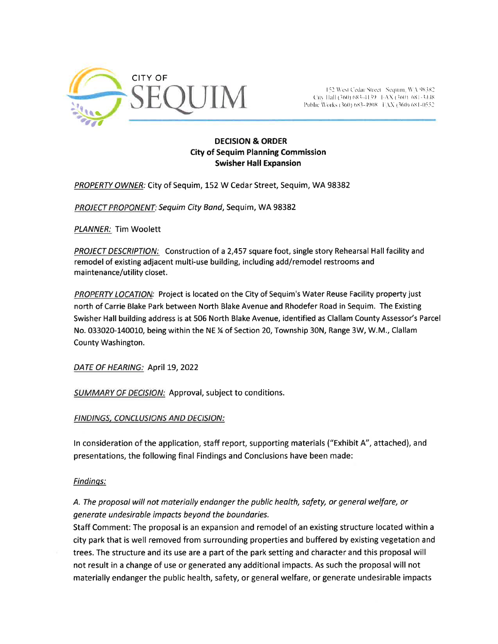

(  $152$  West Cedar Street Sequini, WA 98382<br>(  $\text{Giv}$  Hall (360) 683-4139  $\pm$ AX (360) 681-3448 l'ublic Works (360) 683-4908 [ LXX (360) 681-0552.

## DECISION & ORDER City of Sequim Planning Commission Swisher Hall Expansion

PROPERTY OWNER: City of Sequim, 152 W Cedar Street, Sequim, WA 98382

PROJECT PROPONENT: Sequim City Band, Sequim, WA 98382

PLANNER: Tim Woolett

PROJECT DESCRIPTION: Construction of a 2,457 square foot, single story Rehearsal Hall facility and remodel of existing adjacent multi-use building, including add/remodel restrooms and maintenance/utility closet.

PROPERTY LOCATION: Project is located on the City of Sequim's Water Reuse Facility property just north of Carrie Blake Park between North Blake Avenue and Rhodefer Road in Sequim. The Existing Swisher Hall building address is at 506 North Blake Avenue, identified as Clallam County Assessor's Parcel No. 033020-140010, being within the NE % of Section 20, Township 30N, Range 3W, W.M., Clallam County Washington.

DATE OF HEARING: April 19, 2022

SUMMARY OF DECISION: Approval, subject to conditions.

FINDINGS, CONCLUSIONS AND DECISION:

ln consideration of the application, staff report, supporting materials ("Exhibit 4", attached), and presentations, the following final Findings and Conclusions have been made:

## Findinqs:

# A. The proposal will not materially endanger the public heolth, safety, or generol welfare, or generate undesirable impacts beyond the boundaries.

Staff Comment: The proposal is an expansion and remodel of an existing structure located within <sup>a</sup> city park that is well removed from surrounding properties and buffered by existing vegetation and trees. The structure and its use are a part of the park setting and character and this proposalwill not result in a change of use or generated any additional impacts. As such the proposal will not materially endanger the public health, safety, or general welfare, or generate undesirable impacts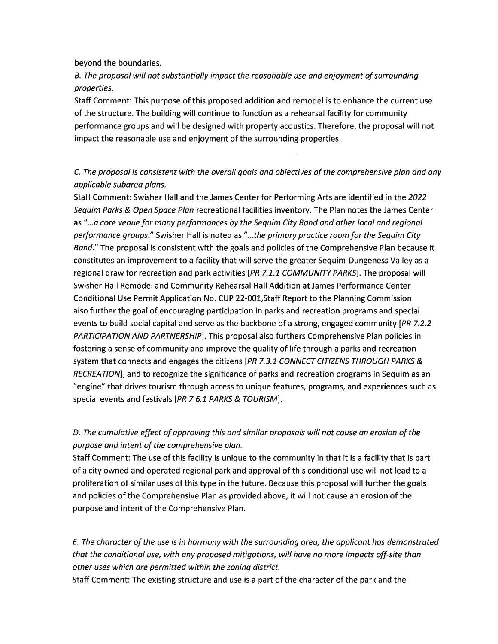beyond the boundaries.

B. The proposol will not substantiolly impact the reasonoble use and enjoyment of surrounding properties.

Staff Comment: This purpose of this proposed addition and remodel is to enhance the current use of the structure. The building will continue to function as a rehearsal facílity for community performance groups and will be designed with property acoustics. Therefore, the proposal will not impact the reasonable use and enjoyment of the surrounding properties.

# C. The proposal is consistent with the overall goals and objectives of the comprehensive plan and any opplicable subarea plons.

Staff Comment: Swisher Hall and the James Center for Performing Arts are identified in the 2022 Sequim Parks & Open Space Plan recreational facilities inventory. The Plan notes the James Center as "...a core venue for many performances by the Sequim City Band and other local and regional performance groups." Swisher Hall is noted as "...the primary practice room for the Sequim City Band." The proposal is consistent with the goals and policies of the Comprehensive Plan because it constitutes an improvement to a facility that will serve the greater Sequim-Dungeness Valley as a regional draw for recreation and park activities [PR 7.1.1 COMMUNITY PARKS]. The proposal will Swisher Hall Remodel and Community Rehearsal Hall Addition at James Performance Center Conditional Use Permit Application No. CUP 22-00L,Staff Report to the Planning Commission also further the goal of encouraging participation in parks and recreation programs and special events to build social capital and serve as the backbone of a strong, engaged community  $[PR \, 7.2.2]$ PARTICIPATION AND PARTNERSHIP]. This proposal also furthers Comprehensive Plan policies in fostering a sense of community and improve the quality of life through a parks and recreation system that connects and engages the citizens [PR 7.3.1 CONNECT CITIZENS THROUGH PARKS & RECREATIONI, and to recognize the significance of parks and recreation programs in Sequim as an "engine" that drives tourism through access to unique features, programs, and experiences such as special events and festivals [PR 7.6.1 PARKS & TOURISM].

# D. The cumulative effect of approving this and similar proposals will not cause an erosion of the purpose ond intent of the comprehensive plan.

Staff Comment: The use of this facility is unique to the community in that it is a facility that is part of a city owned and operated regional park and approval of this conditional use will not lead to <sup>a</sup> proliferation of similar uses of this type in the future. Because this proposal will further the goals and policies of the Comprehensive Plan as provided above, it will not cause an erosion of the purpose and intent of the Comprehensive Plan.

E. The character of the use is in harmony with the surrounding area, the applicant has demonstrated that the conditional use, with any proposed mitigations, will have no more impacts off-site than other uses which ore permitted within the zoning district.

Staff Comment: The existing structure and use is a part of the character of the park and the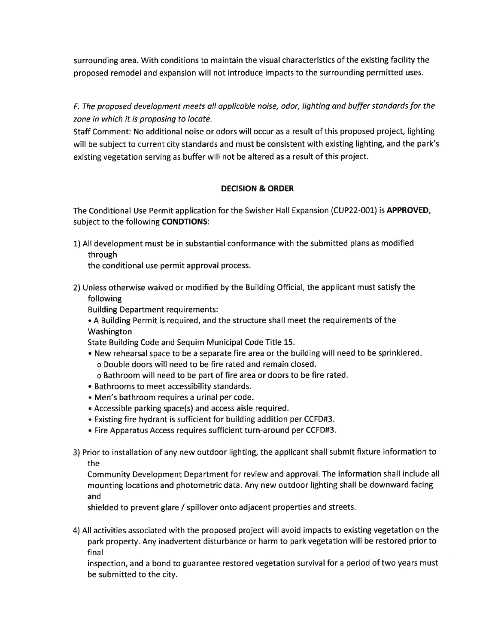surrounding area. With conditions to maintain the visual characteristics of the existing facility the proposed remodel and expansion will not introduce impacts to the surrounding permitted uses.

F. The proposed development meets all applicable noise, odor, lighting ond buffer standords for the zone in which it is proposing to locote.

Staff Comment: No additional noise or odors will occur as a result of this proposed project, lighting will be subject to current city standards and must be consistent with existing lighting, and the park's existing vegetation serving as buffer will not be altered as a result of this project.

# DECISION & ORDER

The Conditional Use Permit application for the Swisher Hall Expansion (CUP22-001) is APPROVED, subject to the following CONDTIONS:

1)All development must be in substantialconformance with the submitted plans as modified through

the conditional use permit approval process.

- 2) Unless otherwise waived or modified by the Building Official, the applicant must satisfy the following
	- Building Department requirements:
	- . A Building Permit is required, and the structure shall meet the requirements of the Washington

State Building Code and Sequim Municipal Code Title 15.

- . New rehearsal space to be a separate fire area or the building will need to be sprinklered o Double doors will need to be fire rated and remain closed.
	- o Bathroom will need to be part of fire area or doors to be fire rated.
- . Bathrooms to meet accessibility standards.
- . Men's bathroom requires a urinal per code.
- . Accessible parking space(s) and access aisle required.
- ¡ Existing fire hydrant is sufficient for building addition per CCFD#3.
- . Fire Apparatus Access requires sufficient turn-around per CCFD#3.
- 3) Prior to installation of any new outdoor lighting, the applicant shall submít fixture information to the

Community Development Department for review and approval. The information shall include all mounting locations and photometric data. Any new outdoor lighting shall be downward facing and

shielded to prevent glare / spillover onto adjacent properties and streets.

4) All activities associated with the proposed project will avoid impacts to existing vegetation on the park property. Any inadvertent disturbance or harm to park vegetation will be restored prior to final

inspection, and a bond to guarantee restored vegetation survival for a period of two years must be submitted to the city.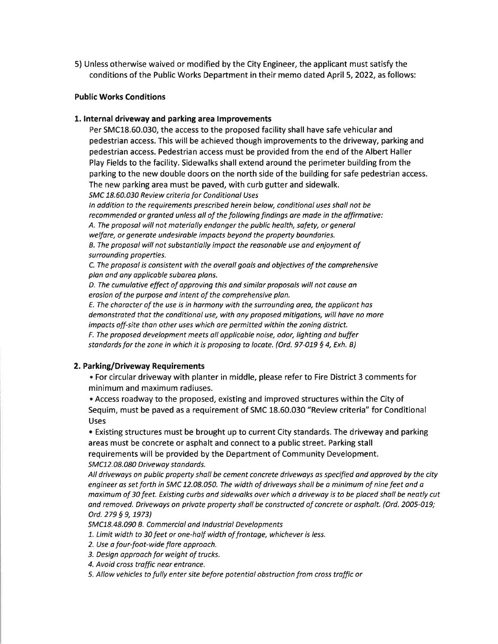5) Unless otherwise waived or modified by the City Engineer, the applicant must satisfy the conditions of the Public Works Department in their memo dated April 5,2022, as follows:

#### Public Works Conditions

#### 1. lnternal driveway and parking area lmprovements

Per SMC18.60.030, the access to the proposed facility shall have safe vehicular and pedestrian access. This will be achieved though improvements to the driveway, parking and pedestrian access. Pedestrian access must be provided from the end of the Albert Haller Play Fields to the facility. Sidewalks shall extend around the perimeter building from the parking to the new double doors on the north side of the building for safe pedestrian access. The new parking area must be paved, with curb gutter and sidewalk.

SMC 18.60.030 Review criteria for Conditionol Uses

ln oddition to the requirements prescribed herein below, conditional uses shall not be recommended or granted unless all of the following findings are made in the affirmotive: A. The proposol will not materially endonger the public health, safety, or generol welfare, or generate undesirable impacts beyond the property boundaries. B. The proposal will not substantially impact the reosonoble use and enjoyment of surrounding properties.

C. The proposol is consistent with the overoll gools and objectives of the comprehensive plan and any applicable subarea plans.

D. The cumulative effect of approving this ond similor proposals will not couse on erosion of the purpose ond intent of the comprehensive plan.

E. The character of the use is in harmony with the surrounding orea, the applicant hos demonstrated that the conditionol use, with ony proposed mitigotions, will have no more impacts off-site than other uses which are permitted within the zoning district. F. The proposed development meets all opplicable noise, odor, lighting ond buffer standards for the zone in which it is proposing to locate. (Ord. 97-019 § 4, Exh. B)

## 2. Parking/Driveway Requirements

. For circular driveway with planter in middle, please refer to Fire District 3 comments for minimum and maximum radiuses.

¡ Access roadway to the proposed, existing and improved structures within the City of Sequim, must be paved as a requirement of SMC 18.60.030 "Review criteria" for Conditional Uses

• Existing structures must be brought up to current City standards. The driveway and parking areas must be concrete or asphalt and connect to a public street. Parking stall requirements will be provided by the Department of Community Development. SMC12.08.080 Driveway standards.

All drivewoys on public property shall be cement concrete driveways as specified and opproved by the city engineer as set forth in SMC 12.08.050. The width of driveways sholl be a minimum of nine feet ond a moximum of 30 feet. Existing curbs and sidewolks over which o drivewoy is to be placed shall be neatly cut and removed. Driveways on private property shall be constructed of concrete or asphalt. (Ord. 2005-019; Ord. 279 § 9, 1973)

5MC18.48.090 B. Commercial ond lndustrial Developments

7. Limit width to 30 feet or one-half width of frontoge, whichever is less.

2. Use a four-foot-wide flore approoch.

3. Design opproach for weight of trucks.

4. Avoid cross traffic near entrance.

5. Allow vehicles to fully enter site before potential obstruction from cross troffic or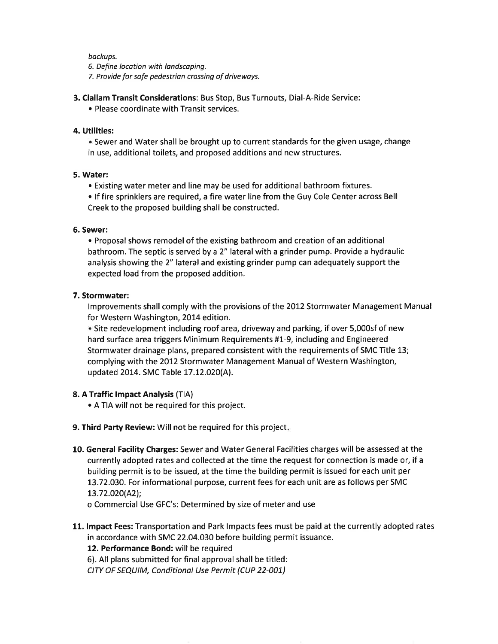backups.

6. Define location with landscoping.

7. Provide for sofe pedestrion crossing of driveways.

- 3. Clallam Transit Considerations: Bus Stop, Bus Turnouts, Dial-A-Ride Service:
	- Please coordinate with Transit services.

#### 4. Utilities:

. Sewer and Water shall be brought up to current standards for the given usage, change in use, additional toilets, and proposed additions and new structures.

#### 5. Water:

• Existing water meter and line may be used for additional bathroom fixtures.

. lf fire sprinklers are required, a fire water line from the Guy Cole Center across Bell Creek to the proposed building shall be constructed.

#### 6. Sewer:

• Proposal shows remodel of the existing bathroom and creation of an additional bathroom. The septic ís served by a 2" lateral with a grinder pump. Provide a hydraulic analysis showing the 2" lateral and existing grinder pump can adequately support the expected load from the proposed addition.

## 7. Stormwater:

Improvements shall comply with the provisions of the 2012 Stormwater Management Manual for Western Washington, 2014 edition.

. Site redevelopment including roof area, driveway and parking, if over 5,000sf of new hard surface area triggers Minimum Requirements #1-9, including and Engineered Stormwater drainage plans, prepared consistent with the requirements of SMC Title 13; complying with the 2012 Stormwater Management Manual of Western Washington, updated 2014. SMC Table 17.12.020(A).

## 8. A Traffic lmpact Analysis (TlA)

- . A TIA will not be required for this project.
- 9. Third Party Review: Will not be required for this project.
- 10. General Facility Charges: Sewer and Water General Facilities charges will be assessed at the currently adopted rates and collected at the time the request for connection is made or, if <sup>a</sup> building permit is to be issued, at the time the building permit is issued for each unit per 13.72.O3O. For informational purpose, current fees for each unit are as follows per SMC L3.72.O20(A2l;

o Commercial Use GFC's: Determined by size of meter and use

11. Impact Fees: Transportation and Park Impacts fees must be paid at the currently adopted rates in accordance with SMC 22.04.030 before building permit issuance.

## 12. Performance Bond: will be required

6). All plans submitted for final approval shall be titled:

CIW OF SEQUIM, Conditional Use Permit (CUP 22-001)